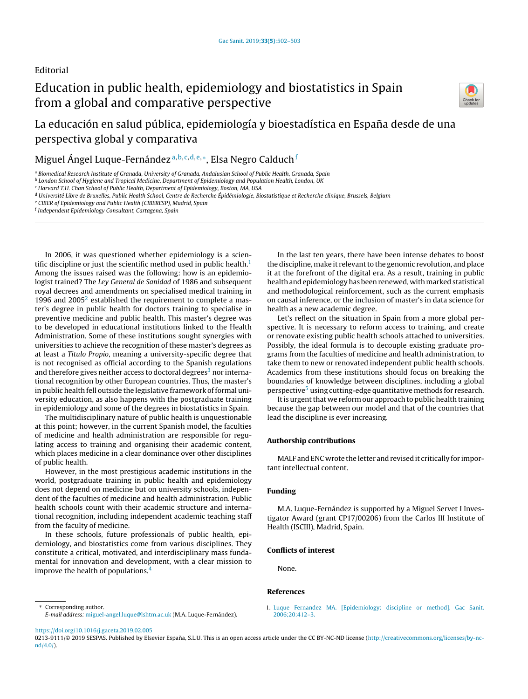## Editorial

# Education in public health, epidemiology and biostatistics in Spain from a global and comparative perspective



La educación en salud pública, epidemiología y bioestadística en España desde de una perspectiva global y comparativa

Miguel Ángel Luque-Fernández ª<sup>,b,c,d,e,</sup>\*, Elsa Negro Calduch <sup>í</sup>

<sup>a</sup> Biomedical Research Institute of Granada, University of Granada, Andalusian School of Public Health, Granada, Spain

<sup>b</sup> London School of Hygiene and Tropical Medicine, Department of Epidemiology and Population Health, London, UK

<sup>c</sup> Harvard T.H. Chan School of Public Health, Department of Epidemiology, Boston, MA, USA

- <sup>e</sup> CIBER of Epidemiology and Public Health (CIBERESP), Madrid, Spain
- f Independent Epidemiology Consultant, Cartagena, Spain

In 2006, it was questioned whether epidemiology is a scientific discipline or just the scientific method used in public health. $<sup>1</sup>$ </sup> Among the issues raised was the following: how is an epidemiologist trained? The Ley General de Sanidad of 1986 and subsequent royal decrees and amendments on specialised medical training in 1996 and  $2005<sup>2</sup>$  $2005<sup>2</sup>$  established the requirement to complete a master's degree in public health for doctors training to specialise in preventive medicine and public health. This master's degree was to be developed in educational institutions linked to the Health Administration. Some of these institutions sought synergies with universities to achieve the recognition of these master's degrees as at least a Titulo Propio, meaning a university-specific degree that is not recognised as official according to the Spanish regulations a[n](#page-1-0)d therefore gives neither access to doctoral degrees<sup>3</sup> nor international recognition by other European countries. Thus, the master's in public health fell outside the legislative framework of formal university education, as also happens with the postgraduate training in epidemiology and some of the degrees in biostatistics in Spain.

The multidisciplinary nature of public health is unquestionable at this point; however, in the current Spanish model, the faculties of medicine and health administration are responsible for regulating access to training and organising their academic content, which places medicine in a clear dominance over other disciplines of public health.

However, in the most prestigious academic institutions in the world, postgraduate training in public health and epidemiology does not depend on medicine but on university schools, independent of the faculties of medicine and health administration. Public health schools count with their academic structure and international recognition, including independent academic teaching staff from the faculty of medicine.

In these schools, future professionals of public health, epidemiology, and biostatistics come from various disciplines. They constitute a critical, motivated, and interdisciplinary mass fundamental for innovation and development, with a clear mission to improve the health of populations.[4](#page-1-0)

<sup>∗</sup> Corresponding author. E-mail address: [miguel-angel.luque@lshtm.ac.uk](mailto:miguel-angel.luque@lshtm.ac.uk) (M.A. Luque-Fernández).

In the last ten years, there have been intense debates to boost the discipline, make it relevant to the genomic revolution, and place it at the forefront of the digital era. As a result, training in public health and epidemiology has been renewed, with marked statistical and methodological reinforcement, such as the current emphasis on causal inference, or the inclusion of master's in data science for health as a new academic degree.

Let's reflect on the situation in Spain from a more global perspective. It is necessary to reform access to training, and create or renovate existing public health schools attached to universities. Possibly, the ideal formula is to decouple existing graduate programs from the faculties of medicine and health administration, to take them to new or renovated independent public health schools. Academics from these institutions should focus on breaking the boundaries of knowledge between disciplines, including a global perspective<s[u](#page-1-0)p>5</sup> using cutting-edge quantitative methods for research.

It is urgent that we reform our approach to public health training because the gap between our model and that of the countries that lead the discipline is ever increasing.

#### Authorship contributions

MALF and ENC wrote the letter and revised it critically for important intellectual content.

#### Funding

M.A. Luque-Fernández is supported by a Miguel Servet I Investigator Award (grant CP17/00206) from the Carlos III Institute of Health (ISCIII), Madrid, Spain.

### Conflicts of interest

None.

#### References

1. [Luque](http://refhub.elsevier.com/S0213-9111(19)30076-7/sbref0030) [Fernandez](http://refhub.elsevier.com/S0213-9111(19)30076-7/sbref0030) [MA.](http://refhub.elsevier.com/S0213-9111(19)30076-7/sbref0030) [\[Epidemiology:](http://refhub.elsevier.com/S0213-9111(19)30076-7/sbref0030) [discipline](http://refhub.elsevier.com/S0213-9111(19)30076-7/sbref0030) [or](http://refhub.elsevier.com/S0213-9111(19)30076-7/sbref0030) [method\].](http://refhub.elsevier.com/S0213-9111(19)30076-7/sbref0030) [Gac](http://refhub.elsevier.com/S0213-9111(19)30076-7/sbref0030) [Sanit.](http://refhub.elsevier.com/S0213-9111(19)30076-7/sbref0030) [2006;20:412–3.](http://refhub.elsevier.com/S0213-9111(19)30076-7/sbref0030)

<https://doi.org/10.1016/j.gaceta.2019.02.005>

<sup>d</sup> Université Libre de Bruxelles, Public Health School, Centre de Recherche Épidémiologie, Biostatistique et Recherche clinique, Brussels, Belgium

<sup>0213-9111/© 2019</sup> SESPAS. Published by Elsevier España, S.L.U. This is an open access article under the CC BY-NC-ND license [\(http://creativecommons.org/licenses/by-nc](http://creativecommons.org/licenses/by-nc-nd/4.0/)[nd/4.0/\)](http://creativecommons.org/licenses/by-nc-nd/4.0/).